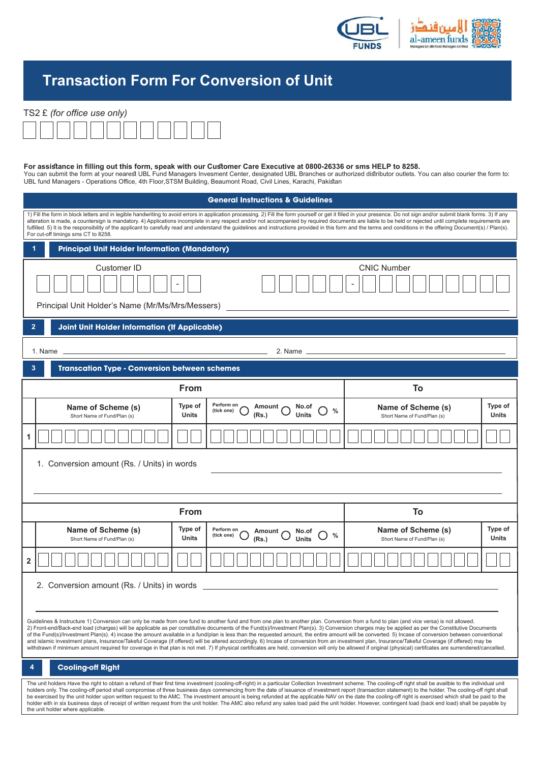

## **Transaction Form For Conversion of Unit**

## TS2 £ *(for office use only)*



**For assistance in filling out this form, speak with our Customer Care Executive at 0800-26336 or sms HELP to 8258.**<br>You can submit the form at your nearest UBL Fund Managers Invesment Center, designated UBL Branches or au UBL fund Managers - Operations Office, 4th Floor,STSM Building, Beaumont Road, Civil Lines, Karachi, Pakistan

| <b>General Instructions &amp; Guidelines</b>                                                                                                                                                                                                                                                                                                                                                                                                                                                                                                                                                                                                                                                                                                                                                                                                                                                                                                                                                                                  |                                                   |                         |                                                                                        |                                                   |                         |  |
|-------------------------------------------------------------------------------------------------------------------------------------------------------------------------------------------------------------------------------------------------------------------------------------------------------------------------------------------------------------------------------------------------------------------------------------------------------------------------------------------------------------------------------------------------------------------------------------------------------------------------------------------------------------------------------------------------------------------------------------------------------------------------------------------------------------------------------------------------------------------------------------------------------------------------------------------------------------------------------------------------------------------------------|---------------------------------------------------|-------------------------|----------------------------------------------------------------------------------------|---------------------------------------------------|-------------------------|--|
| 1) Fill the form in block letters and in legible handwriting to avoid errors in application processing. 2) Fill the form yourself or get it filled in your presence. Do not sign and/or submit blank forms. 3) If any<br>alteration is made, a countersign is mandatory. 4) Applications incomplete in any respect and/or not accompanied by required documents are liable to be held or rejected until complete requirements are<br>fulfilled. 5) It is the responsibility of the applicant to carefully read and understand the quidelines and instructions provided in this form and the terms and conditions in the offering Document(s) / Plan(s).<br>For cut-off timings sms CT to 8258.                                                                                                                                                                                                                                                                                                                                |                                                   |                         |                                                                                        |                                                   |                         |  |
| <b>Principal Unit Holder Information (Mandatory)</b>                                                                                                                                                                                                                                                                                                                                                                                                                                                                                                                                                                                                                                                                                                                                                                                                                                                                                                                                                                          |                                                   |                         |                                                                                        |                                                   |                         |  |
| Customer ID<br><b>CNIC Number</b><br>Principal Unit Holder's Name (Mr/Ms/Mrs/Messers)                                                                                                                                                                                                                                                                                                                                                                                                                                                                                                                                                                                                                                                                                                                                                                                                                                                                                                                                         |                                                   |                         |                                                                                        |                                                   |                         |  |
| <b>Joint Unit Holder Information (If Applicable)</b>                                                                                                                                                                                                                                                                                                                                                                                                                                                                                                                                                                                                                                                                                                                                                                                                                                                                                                                                                                          |                                                   |                         |                                                                                        |                                                   |                         |  |
| 1. Name $\overline{\phantom{0}}$<br>2. Name ____                                                                                                                                                                                                                                                                                                                                                                                                                                                                                                                                                                                                                                                                                                                                                                                                                                                                                                                                                                              |                                                   |                         |                                                                                        |                                                   |                         |  |
| <b>Transcation Type - Conversion between schemes</b><br>3                                                                                                                                                                                                                                                                                                                                                                                                                                                                                                                                                                                                                                                                                                                                                                                                                                                                                                                                                                     |                                                   |                         |                                                                                        |                                                   |                         |  |
|                                                                                                                                                                                                                                                                                                                                                                                                                                                                                                                                                                                                                                                                                                                                                                                                                                                                                                                                                                                                                               | <b>From</b>                                       |                         |                                                                                        | To                                                |                         |  |
|                                                                                                                                                                                                                                                                                                                                                                                                                                                                                                                                                                                                                                                                                                                                                                                                                                                                                                                                                                                                                               | Name of Scheme (s)<br>Short Name of Fund/Plan (s) | Type of<br><b>Units</b> | Perform on<br>Amount<br>No.of<br>(tick one)<br><b>Units</b><br>(Rs.)                   | Name of Scheme (s)<br>Short Name of Fund/Plan (s) | Type of<br><b>Units</b> |  |
| 1                                                                                                                                                                                                                                                                                                                                                                                                                                                                                                                                                                                                                                                                                                                                                                                                                                                                                                                                                                                                                             |                                                   |                         |                                                                                        |                                                   |                         |  |
| 1. Conversion amount (Rs. / Units) in words                                                                                                                                                                                                                                                                                                                                                                                                                                                                                                                                                                                                                                                                                                                                                                                                                                                                                                                                                                                   |                                                   |                         |                                                                                        |                                                   |                         |  |
| <b>From</b>                                                                                                                                                                                                                                                                                                                                                                                                                                                                                                                                                                                                                                                                                                                                                                                                                                                                                                                                                                                                                   |                                                   |                         |                                                                                        | To                                                |                         |  |
|                                                                                                                                                                                                                                                                                                                                                                                                                                                                                                                                                                                                                                                                                                                                                                                                                                                                                                                                                                                                                               | Name of Scheme (s)<br>Short Name of Fund/Plan (s) | Type of<br>Units        | Perform on<br>Amount,<br>No.of<br>$\frac{0}{0}$<br>(tick one)<br><b>Units</b><br>(Rs.) | Name of Scheme (s)<br>Short Name of Fund/Plan (s) | Type of<br>Units        |  |
| $\overline{2}$                                                                                                                                                                                                                                                                                                                                                                                                                                                                                                                                                                                                                                                                                                                                                                                                                                                                                                                                                                                                                |                                                   |                         |                                                                                        |                                                   |                         |  |
| 2. Conversion amount (Rs. / Units) in words                                                                                                                                                                                                                                                                                                                                                                                                                                                                                                                                                                                                                                                                                                                                                                                                                                                                                                                                                                                   |                                                   |                         |                                                                                        |                                                   |                         |  |
| Guidelines & Instructure 1) Conversion can only be made from one fund to another fund and from one plan to another plan. Conversion from a fund to plan (and vice versa) is not allowed.<br>2) Front-end/Back-end load (charges) will be applicable as per constitutive documents of the Fund(s)/Investment Plan(s). 3) Conversion charges may be applied as per the Constitutive Documents<br>of the Fund(s)/Investment Plan(s). 4) incase the amount available in a fund/plan is less than the requested amount, the entire amount will be converted. 5) Incase of conversion between conventional<br>and islamic investment plans, Insurance/Takeful Coverage (if offered) will be altered accordingly. 6) Incase of conversion from an investment plan, Insurance/Takeful Coverage (if offered) may be<br>withdrawn if minimum amount required for coverage in that plan is not met. 7) If physical certificates are held, conversion will only be allowed if original (physical) certificates are surrendered/cancelled. |                                                   |                         |                                                                                        |                                                   |                         |  |
| <b>Cooling-off Right</b><br>4                                                                                                                                                                                                                                                                                                                                                                                                                                                                                                                                                                                                                                                                                                                                                                                                                                                                                                                                                                                                 |                                                   |                         |                                                                                        |                                                   |                         |  |
| The unit holders Have the right to obtain a refund of their first time investment (cooling-off-right) in a particular Collection Investment scheme. The cooling-off right shall be availble to the individual unit<br>holders only. The cooling-off period shall compromise of three business days commencing from the date of issuance of investment report (transaction statement) to the holder. The cooling-off right shall<br>be exercised by the unit holder upon written request to the AMC. The investment amount is being refunded at the applicable NAV on the date the cooling-off right is exercised which shall be paid to the<br>holder eith in six business days of receipt of written request from the unit holder. The AMC also refund any sales load paid the unit holder. However, contingent load (back end load) shall be payable by<br>the unit holder where applicable.                                                                                                                                |                                                   |                         |                                                                                        |                                                   |                         |  |